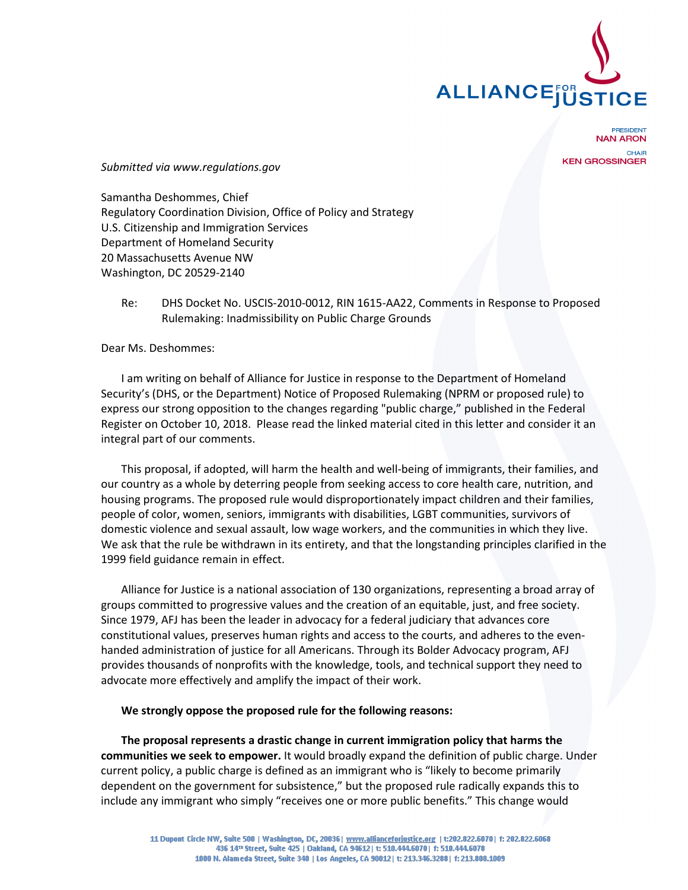

**PRESIDENT NAN ARON** CHAIR **KEN GROSSINGER** 

*Submitted via www.regulations.gov*

Samantha Deshommes, Chief Regulatory Coordination Division, Office of Policy and Strategy U.S. Citizenship and Immigration Services Department of Homeland Security 20 Massachusetts Avenue NW Washington, DC 20529-2140

# Re: DHS Docket No. USCIS-2010-0012, RIN 1615-AA22, Comments in Response to Proposed Rulemaking: Inadmissibility on Public Charge Grounds

Dear Ms. Deshommes:

I am writing on behalf of Alliance for Justice in response to the Department of Homeland Security's (DHS, or the Department) Notice of Proposed Rulemaking (NPRM or proposed rule) to express our strong opposition to the changes regarding "public charge," published in the Federal Register on October 10, 2018. Please read the linked material cited in this letter and consider it an integral part of our comments.

This proposal, if adopted, will harm the health and well-being of immigrants, their families, and our country as a whole by deterring people from seeking access to core health care, nutrition, and housing programs. The proposed rule would disproportionately impact children and their families, people of color, women, seniors, immigrants with disabilities, LGBT communities, survivors of domestic violence and sexual assault, low wage workers, and the communities in which they live. We ask that the rule be withdrawn in its entirety, and that the longstanding principles clarified in the 1999 field guidance remain in effect.

Alliance for Justice is a national association of 130 organizations, representing a broad array of groups committed to progressive values and the creation of an equitable, just, and free society. Since 1979, AFJ has been the leader in advocacy for a federal judiciary that advances core constitutional values, preserves human rights and access to the courts, and adheres to the evenhanded administration of justice for all Americans. Through its Bolder Advocacy program, AFJ provides thousands of nonprofits with the knowledge, tools, and technical support they need to advocate more effectively and amplify the impact of their work.

## **We strongly oppose the proposed rule for the following reasons:**

**The proposal represents a drastic change in current immigration policy that harms the communities we seek to empower.** It would broadly expand the definition of public charge. Under current policy, a public charge is defined as an immigrant who is "likely to become primarily dependent on the government for subsistence," but the proposed rule radically expands this to include any immigrant who simply "receives one or more public benefits." This change would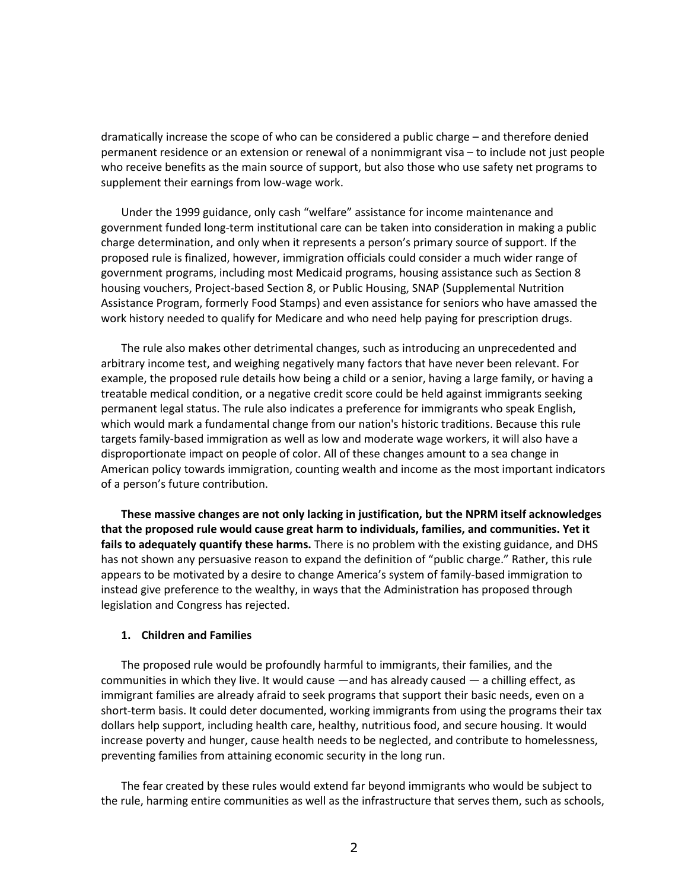dramatically increase the scope of who can be considered a public charge – and therefore denied permanent residence or an extension or renewal of a nonimmigrant visa – to include not just people who receive benefits as the main source of support, but also those who use safety net programs to supplement their earnings from low-wage work.

Under the 1999 guidance, only cash "welfare" assistance for income maintenance and government funded long-term institutional care can be taken into consideration in making a public charge determination, and only when it represents a person's primary source of support. If the proposed rule is finalized, however, immigration officials could consider a much wider range of government programs, including most Medicaid programs, housing assistance such as Section 8 housing vouchers, Project-based Section 8, or Public Housing, SNAP (Supplemental Nutrition Assistance Program, formerly Food Stamps) and even assistance for seniors who have amassed the work history needed to qualify for Medicare and who need help paying for prescription drugs.

The rule also makes other detrimental changes, such as introducing an unprecedented and arbitrary income test, and weighing negatively many factors that have never been relevant. For example, the proposed rule details how being a child or a senior, having a large family, or having a treatable medical condition, or a negative credit score could be held against immigrants seeking permanent legal status. The rule also indicates a preference for immigrants who speak English, which would mark a fundamental change from our nation's historic traditions. Because this rule targets family-based immigration as well as low and moderate wage workers, it will also have a disproportionate impact on people of color. All of these changes amount to a sea change in American policy towards immigration, counting wealth and income as the most important indicators of a person's future contribution.

**These massive changes are not only lacking in justification, but the NPRM itself acknowledges that the proposed rule would cause great harm to individuals, families, and communities. Yet it fails to adequately quantify these harms.** There is no problem with the existing guidance, and DHS has not shown any persuasive reason to expand the definition of "public charge." Rather, this rule appears to be motivated by a desire to change America's system of family-based immigration to instead give preference to the wealthy, in ways that the Administration has proposed through legislation and Congress has rejected.

## **1. Children and Families**

The proposed rule would be profoundly harmful to immigrants, their families, and the communities in which they live. It would cause —and has already caused — a chilling effect, as immigrant families are already afraid to seek programs that support their basic needs, even on a short-term basis. It could deter documented, working immigrants from using the programs their tax dollars help support, including health care, healthy, nutritious food, and secure housing. It would increase poverty and hunger, cause health needs to be neglected, and contribute to homelessness, preventing families from attaining economic security in the long run.

The fear created by these rules would extend far beyond immigrants who would be subject to the rule, harming entire communities as well as the infrastructure that serves them, such as schools,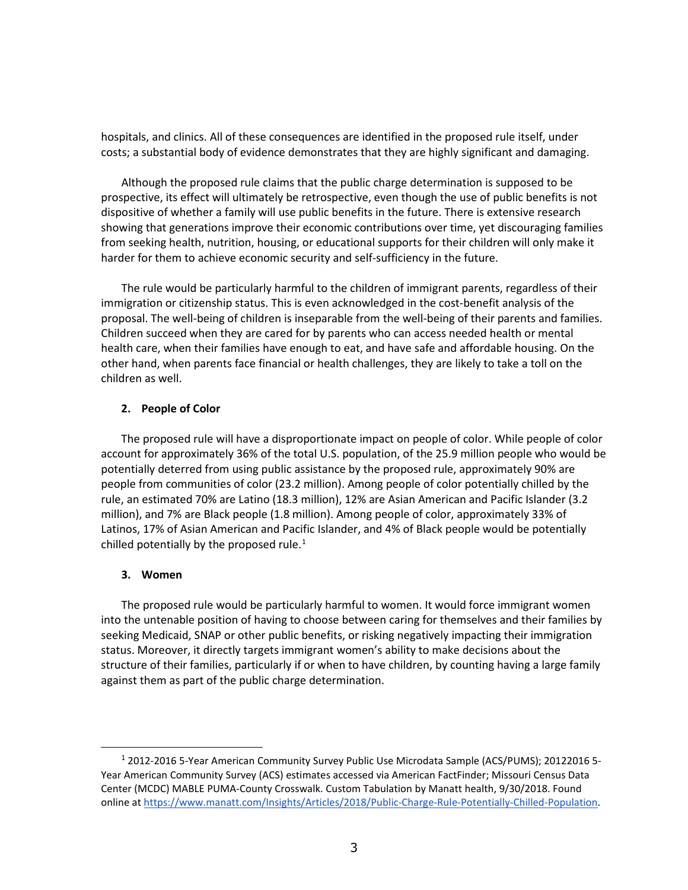hospitals, and clinics. All of these consequences are identified in the proposed rule itself, under costs; a substantial body of evidence demonstrates that they are highly significant and damaging.

Although the proposed rule claims that the public charge determination is supposed to be prospective, its effect will ultimately be retrospective, even though the use of public benefits is not dispositive of whether a family will use public benefits in the future. There is extensive research showing that generations improve their economic contributions over time, yet discouraging families from seeking health, nutrition, housing, or educational supports for their children will only make it harder for them to achieve economic security and self-sufficiency in the future.

The rule would be particularly harmful to the children of immigrant parents, regardless of their immigration or citizenship status. This is even acknowledged in the cost-benefit analysis of the proposal. The well-being of children is inseparable from the well-being of their parents and families. Children succeed when they are cared for by parents who can access needed health or mental health care, when their families have enough to eat, and have safe and affordable housing. On the other hand, when parents face financial or health challenges, they are likely to take a toll on the children as well.

# **2. People of Color**

The proposed rule will have a disproportionate impact on people of color. While people of color account for approximately 36% of the total U.S. population, of the 25.9 million people who would be potentially deterred from using public assistance by the proposed rule, approximately 90% are people from communities of color (23.2 million). Among people of color potentially chilled by the rule, an estimated 70% are Latino (18.3 million), 12% are Asian American and Pacific Islander (3.2 million), and 7% are Black people (1.8 million). Among people of color, approximately 33% of Latinos, 17% of Asian American and Pacific Islander, and 4% of Black people would be potentially chilled potentially by the proposed rule. $<sup>1</sup>$  $<sup>1</sup>$  $<sup>1</sup>$ </sup>

## **3. Women**

 $\overline{a}$ 

The proposed rule would be particularly harmful to women. It would force immigrant women into the untenable position of having to choose between caring for themselves and their families by seeking Medicaid, SNAP or other public benefits, or risking negatively impacting their immigration status. Moreover, it directly targets immigrant women's ability to make decisions about the structure of their families, particularly if or when to have children, by counting having a large family against them as part of the public charge determination.

<span id="page-2-0"></span><sup>1</sup> 2012-2016 5-Year American Community Survey Public Use Microdata Sample (ACS/PUMS); 20122016 5- Year American Community Survey (ACS) estimates accessed via American FactFinder; Missouri Census Data Center (MCDC) MABLE PUMA-County Crosswalk. Custom Tabulation by Manatt health, 9/30/2018. Found online at [https://www.manatt.com/Insights/Articles/2018/Public-Charge-Rule-Potentially-Chilled-Population.](https://www.manatt.com/Insights/Articles/2018/Public-Charge-Rule-Potentially-Chilled-Population)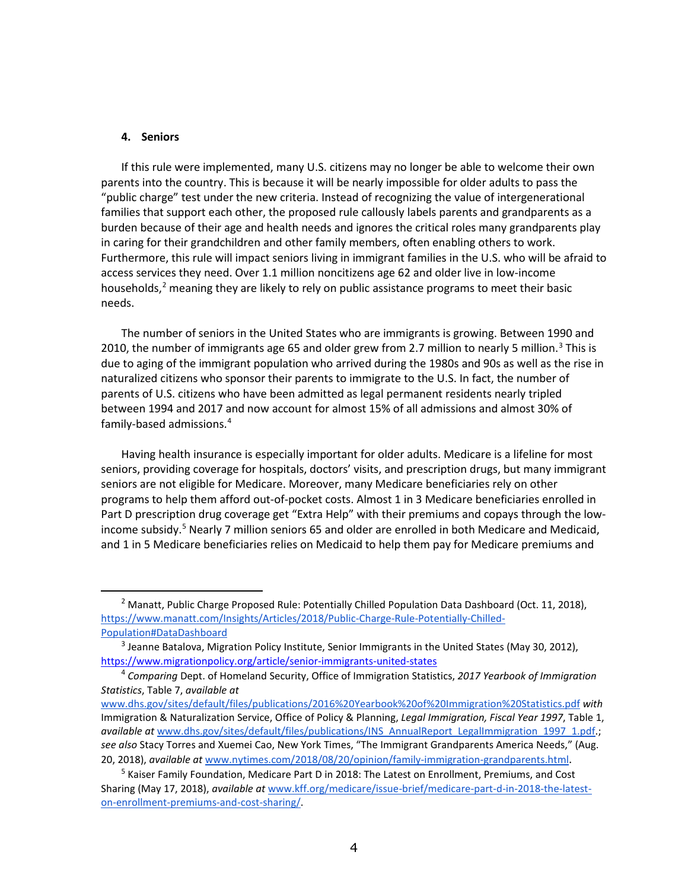#### **4. Seniors**

 $\ddot{ }$ 

If this rule were implemented, many U.S. citizens may no longer be able to welcome their own parents into the country. This is because it will be nearly impossible for older adults to pass the "public charge" test under the new criteria. Instead of recognizing the value of intergenerational families that support each other, the proposed rule callously labels parents and grandparents as a burden because of their age and health needs and ignores the critical roles many grandparents play in caring for their grandchildren and other family members, often enabling others to work. Furthermore, this rule will impact seniors living in immigrant families in the U.S. who will be afraid to access services they need. Over 1.1 million noncitizens age 62 and older live in low-income households, $2$  meaning they are likely to rely on public assistance programs to meet their basic needs.

The number of seniors in the United States who are immigrants is growing. Between 1990 and 2010, the number of immigrants age 65 and older grew from 2.7 million to nearly 5 million.<sup>[3](#page-3-1)</sup> This is due to aging of the immigrant population who arrived during the 1980s and 90s as well as the rise in naturalized citizens who sponsor their parents to immigrate to the U.S. In fact, the number of parents of U.S. citizens who have been admitted as legal permanent residents nearly tripled between 1994 and 2017 and now account for almost 15% of all admissions and almost 30% of family-based admissions.[4](#page-3-2)

Having health insurance is especially important for older adults. Medicare is a lifeline for most seniors, providing coverage for hospitals, doctors' visits, and prescription drugs, but many immigrant seniors are not eligible for Medicare. Moreover, many Medicare beneficiaries rely on other programs to help them afford out-of-pocket costs. Almost 1 in 3 Medicare beneficiaries enrolled in Part D prescription drug coverage get "Extra Help" with their premiums and copays through the low-income subsidy.<sup>[5](#page-3-3)</sup> Nearly 7 million seniors 65 and older are enrolled in both Medicare and Medicaid, and 1 in 5 Medicare beneficiaries relies on Medicaid to help them pay for Medicare premiums and

<span id="page-3-0"></span><sup>&</sup>lt;sup>2</sup> Manatt[,](https://www.manatt.com/Insights/Articles/2018/Public-Charge-Rule-Potentially-Chilled-Population#DataDashboard) Public Charge Proposed Rule: Potentially Chilled Population Data Dashboard (Oct. 11, 2018), [https://www.manatt.com/Insights/Articles/2018/Public-Charge-Rule-Potentially-Chilled-](https://www.manatt.com/Insights/Articles/2018/Public-Charge-Rule-Potentially-Chilled-Population#DataDashboard)[Population#DataDashboard](https://www.manatt.com/Insights/Articles/2018/Public-Charge-Rule-Potentially-Chilled-Population#DataDashboard)

<span id="page-3-1"></span> $3$  Jeanne Batalova, Migration Policy Institute, Senior Immigrants in the United States (May 30, 2012), <https://www.migrationpolicy.org/article/senior-immigrants-united-states>

<span id="page-3-2"></span><sup>4</sup> *Comparing* Dept. of Homeland Security, Office of Immigration Statistics, *2017 Yearbook of Immigration Statistics*, Table 7, *available a[t](http://www.dhs.gov/sites/default/files/publications/2016%20Yearbook%20of%20Immigration%20Statistics.pdf)*

[www.dhs.gov/sites/default/files/publications/2016%20Yearbook%20of%20Immigration%20Statistics.pdf](http://www.dhs.gov/sites/default/files/publications/2016%20Yearbook%20of%20Immigration%20Statistics.pdf) *with* Immigration & Naturalization Service, Office of Policy & Planning, *Legal Immigration, Fiscal Year 1997*, Table 1, *available a[t](http://www.dhs.gov/sites/default/files/publications/INS_AnnualReport_LegalImmigration_1997_1.pdf)* [www.dhs.gov/sites/default/files/publications/INS\\_AnnualReport\\_LegalImmigration\\_1997\\_1.pdf.](http://www.dhs.gov/sites/default/files/publications/INS_AnnualReport_LegalImmigration_1997_1.pdf); *see also* Stacy Torres and Xuemei Cao, New York Times, "The Immigrant Grandparents America Needs," (Aug. 20, 2018), *available at* [www.nytimes.com/2018/08/20/opinion/family-immigration-grandparents.html.](http://www.nytimes.com/2018/08/20/opinion/family-immigration-grandparents.html)

<span id="page-3-3"></span><sup>&</sup>lt;sup>5</sup> Kaiser Family Foundation, Medicare Part D in 2018: The Latest on Enrollment, Premiums, and Cost Sharing (May 17, 2018), *available at* [www.kff.org/medicare/issue-brief/medicare-part-d-in-2018-the-latest](http://www.kff.org/medicare/issue-brief/medicare-part-d-in-2018-the-latest-on-enrollment-premiums-and-cost-sharing/)[on-enrollment-premiums-and-cost-sharing/.](http://www.kff.org/medicare/issue-brief/medicare-part-d-in-2018-the-latest-on-enrollment-premiums-and-cost-sharing/)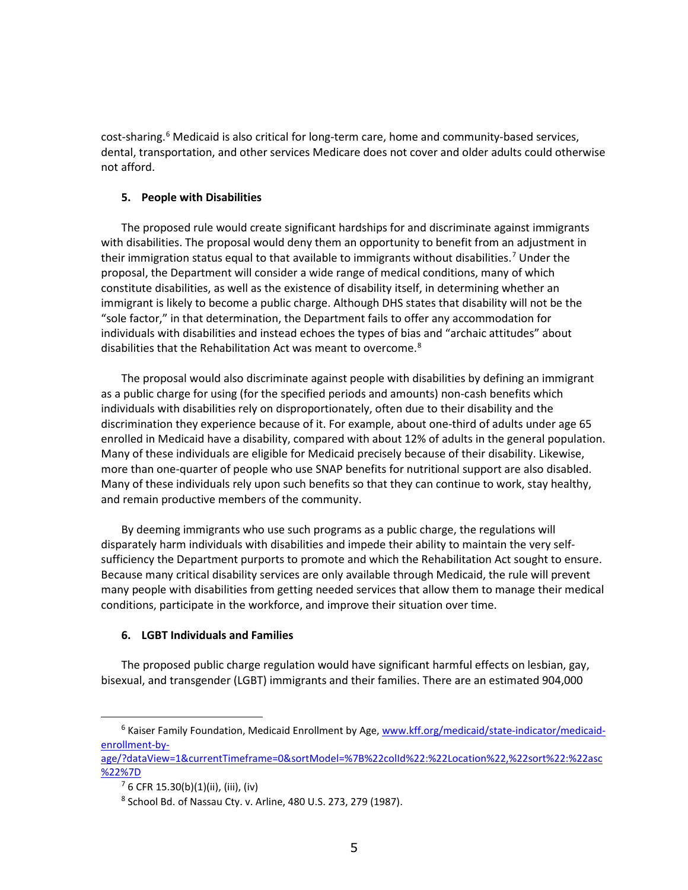cost-sharing.<sup>[6](#page-4-0)</sup> Medicaid is also critical for long-term care, home and community-based services, dental, transportation, and other services Medicare does not cover and older adults could otherwise not afford.

## **5. People with Disabilities**

The proposed rule would create significant hardships for and discriminate against immigrants with disabilities. The proposal would deny them an opportunity to benefit from an adjustment in their immigration status equal to that available to immigrants without disabilities.<sup>[7](#page-4-1)</sup> Under the proposal, the Department will consider a wide range of medical conditions, many of which constitute disabilities, as well as the existence of disability itself, in determining whether an immigrant is likely to become a public charge. Although DHS states that disability will not be the "sole factor," in that determination, the Department fails to offer any accommodation for individuals with disabilities and instead echoes the types of bias and "archaic attitudes" about disabilities that the Rehabilitation Act was meant to overcome.<sup>[8](#page-4-2)</sup>

The proposal would also discriminate against people with disabilities by defining an immigrant as a public charge for using (for the specified periods and amounts) non-cash benefits which individuals with disabilities rely on disproportionately, often due to their disability and the discrimination they experience because of it. For example, about one-third of adults under age 65 enrolled in Medicaid have a disability, compared with about 12% of adults in the general population. Many of these individuals are eligible for Medicaid precisely because of their disability. Likewise, more than one-quarter of people who use SNAP benefits for nutritional support are also disabled. Many of these individuals rely upon such benefits so that they can continue to work, stay healthy, and remain productive members of the community.

By deeming immigrants who use such programs as a public charge, the regulations will disparately harm individuals with disabilities and impede their ability to maintain the very selfsufficiency the Department purports to promote and which the Rehabilitation Act sought to ensure. Because many critical disability services are only available through Medicaid, the rule will prevent many people with disabilities from getting needed services that allow them to manage their medical conditions, participate in the workforce, and improve their situation over time.

# **6. LGBT Individuals and Families**

The proposed public charge regulation would have significant harmful effects on lesbian, gay, bisexual, and transgender (LGBT) immigrants and their families. There are an estimated 904,000

 $\overline{a}$ 

<span id="page-4-0"></span><sup>6</sup> Kaiser Family Foundation, Medicaid Enrollment by Age, [www.kff.org/medicaid/state-indicator/medicaid](http://www.kff.org/medicaid/state-indicator/medicaid-enrollment-by-age/?dataView=1¤tTimeframe=0&sortModel=%7B%22colId%22:%22Location%22,%22sort%22:%22asc%22%7D)[enrollment-by-](http://www.kff.org/medicaid/state-indicator/medicaid-enrollment-by-age/?dataView=1¤tTimeframe=0&sortModel=%7B%22colId%22:%22Location%22,%22sort%22:%22asc%22%7D)

<span id="page-4-2"></span><span id="page-4-1"></span>[age/?dataView=1&currentTimeframe=0&sortModel=%7B%22colId%22:%22Location%22,%22sort%22:%22asc](http://www.kff.org/medicaid/state-indicator/medicaid-enrollment-by-age/?dataView=1¤tTimeframe=0&sortModel=%7B%22colId%22:%22Location%22,%22sort%22:%22asc%22%7D) [%22%7D](http://www.kff.org/medicaid/state-indicator/medicaid-enrollment-by-age/?dataView=1¤tTimeframe=0&sortModel=%7B%22colId%22:%22Location%22,%22sort%22:%22asc%22%7D)

 $76$  CFR 15.30(b)(1)(ii), (iii), (iv)

<sup>8</sup> School Bd. of Nassau Cty. v. Arline, 480 U.S. 273, 279 (1987).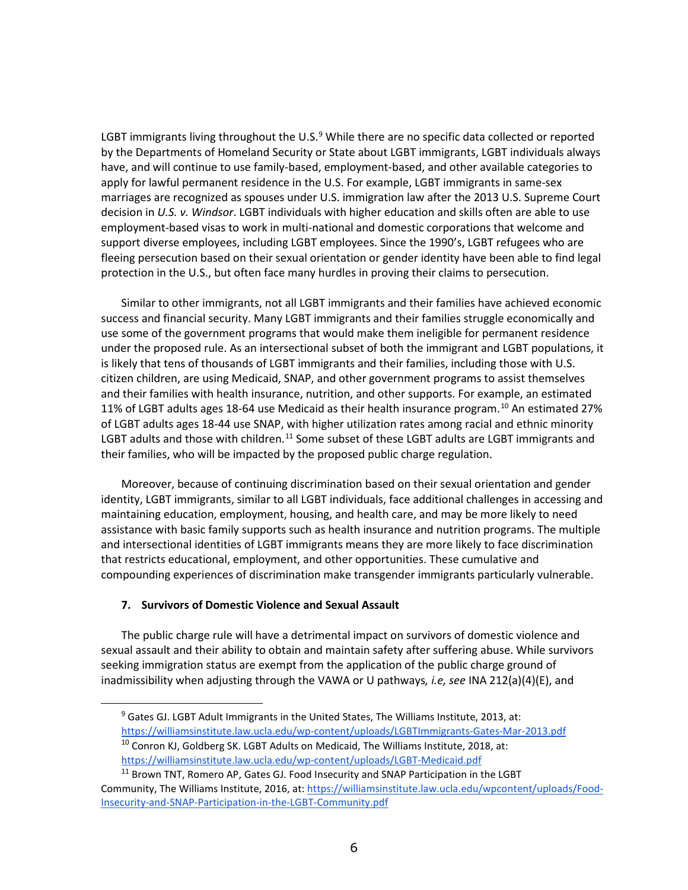LGBT immigrants living throughout the U.S. $9$  While there are no specific data collected or reported by the Departments of Homeland Security or State about LGBT immigrants, LGBT individuals always have, and will continue to use family-based, employment-based, and other available categories to apply for lawful permanent residence in the U.S. For example, LGBT immigrants in same-sex marriages are recognized as spouses under U.S. immigration law after the 2013 U.S. Supreme Court decision in *U.S. v. Windsor*. LGBT individuals with higher education and skills often are able to use employment-based visas to work in multi-national and domestic corporations that welcome and support diverse employees, including LGBT employees. Since the 1990's, LGBT refugees who are fleeing persecution based on their sexual orientation or gender identity have been able to find legal protection in the U.S., but often face many hurdles in proving their claims to persecution.

Similar to other immigrants, not all LGBT immigrants and their families have achieved economic success and financial security. Many LGBT immigrants and their families struggle economically and use some of the government programs that would make them ineligible for permanent residence under the proposed rule. As an intersectional subset of both the immigrant and LGBT populations, it is likely that tens of thousands of LGBT immigrants and their families, including those with U.S. citizen children, are using Medicaid, SNAP, and other government programs to assist themselves and their families with health insurance, nutrition, and other supports. For example, an estimated 11% of LGBT adults ages 18-64 use Medicaid as their health insurance program.<sup>[10](#page-5-1)</sup> An estimated 27% of LGBT adults ages 18-44 use SNAP, with higher utilization rates among racial and ethnic minority LGBT adults and those with children.<sup>[11](#page-5-2)</sup> Some subset of these LGBT adults are LGBT immigrants and their families, who will be impacted by the proposed public charge regulation.

Moreover, because of continuing discrimination based on their sexual orientation and gender identity, LGBT immigrants, similar to all LGBT individuals, face additional challenges in accessing and maintaining education, employment, housing, and health care, and may be more likely to need assistance with basic family supports such as health insurance and nutrition programs. The multiple and intersectional identities of LGBT immigrants means they are more likely to face discrimination that restricts educational, employment, and other opportunities. These cumulative and compounding experiences of discrimination make transgender immigrants particularly vulnerable.

# **7. Survivors of Domestic Violence and Sexual Assault**

<span id="page-5-0"></span> $\ddot{ }$ 

The public charge rule will have a detrimental impact on survivors of domestic violence and sexual assault and their ability to obtain and maintain safety after suffering abuse. While survivors seeking immigration status are exempt from the application of the public charge ground of inadmissibility when adjusting through the VAWA or U pathways*, i.e, see* INA 212(a)(4)(E), and

<sup>&</sup>lt;sup>9</sup> Gates GJ. LGBT Adult Immigrants in the United States, The Williams Institute, 2013, at: <https://williamsinstitute.law.ucla.edu/wp-content/uploads/LGBTImmigrants-Gates-Mar-2013.pdf>  $10$  Conron KJ, Goldberg SK. LGBT Adults on Medicaid, The Williams Institute, 2018, at:

<https://williamsinstitute.law.ucla.edu/wp-content/uploads/LGBT-Medicaid.pdf>

<span id="page-5-2"></span><span id="page-5-1"></span> $11$  Brown TNT, Romero AP, Gates GJ. Food Insecurity and SNAP Participation in the LGBT Community, The Williams Institute, 2016, at[: https://williamsinstitute.law.ucla.edu/wpcontent/uploads/Food-](https://williamsinstitute.law.ucla.edu/wpcontent/uploads/Food-Insecurity-and-SNAP-Participation-in-the-LGBT-Community.pdf)[Insecurity-and-SNAP-Participation-in-the-LGBT-Community.pdf](https://williamsinstitute.law.ucla.edu/wpcontent/uploads/Food-Insecurity-and-SNAP-Participation-in-the-LGBT-Community.pdf)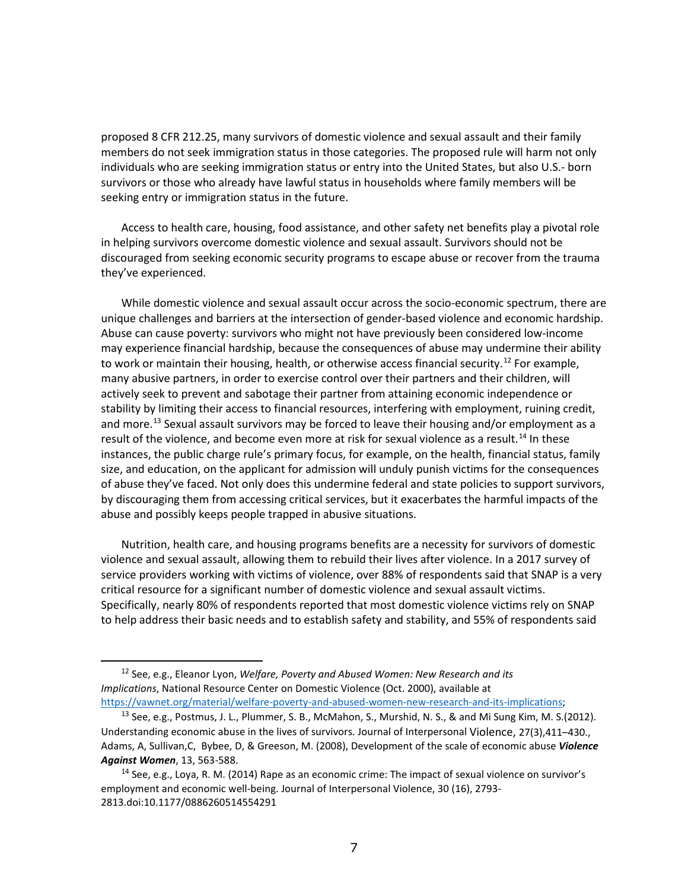proposed 8 CFR 212.25, many survivors of domestic violence and sexual assault and their family members do not seek immigration status in those categories. The proposed rule will harm not only individuals who are seeking immigration status or entry into the United States, but also U.S.- born survivors or those who already have lawful status in households where family members will be seeking entry or immigration status in the future.

Access to health care, housing, food assistance, and other safety net benefits play a pivotal role in helping survivors overcome domestic violence and sexual assault. Survivors should not be discouraged from seeking economic security programs to escape abuse or recover from the trauma they've experienced.

While domestic violence and sexual assault occur across the socio-economic spectrum, there are unique challenges and barriers at the intersection of gender-based violence and economic hardship. Abuse can cause poverty: survivors who might not have previously been considered low-income may experience financial hardship, because the consequences of abuse may undermine their ability to work or maintain their housing, health, or otherwise access financial security.<sup>[12](#page-6-0)</sup> For example, many abusive partners, in order to exercise control over their partners and their children, will actively seek to prevent and sabotage their partner from attaining economic independence or stability by limiting their access to financial resources, interfering with employment, ruining credit, and more.<sup>[13](#page-6-1)</sup> Sexual assault survivors may be forced to leave their housing and/or employment as a result of the violence, and become even more at risk for sexual violence as a result.<sup>[14](#page-6-2)</sup> In these instances, the public charge rule's primary focus, for example, on the health, financial status, family size, and education, on the applicant for admission will unduly punish victims for the consequences of abuse they've faced. Not only does this undermine federal and state policies to support survivors, by discouraging them from accessing critical services, but it exacerbates the harmful impacts of the abuse and possibly keeps people trapped in abusive situations.

Nutrition, health care, and housing programs benefits are a necessity for survivors of domestic violence and sexual assault, allowing them to rebuild their lives after violence. In a 2017 survey of service providers working with victims of violence, over 88% of respondents said that SNAP is a very critical resource for a significant number of domestic violence and sexual assault victims. Specifically, nearly 80% of respondents reported that most domestic violence victims rely on SNAP to help address their basic needs and to establish safety and stability, and 55% of respondents said

 $\ddot{ }$ 

<span id="page-6-0"></span><sup>12</sup> See, e.g., Eleanor Lyon, *Welfare, Poverty and Abused Women: New Research and its Implications*, National Resource Center on Domestic Violence (Oct. 2000), available at [https://vawnet.org/material/welfare-poverty-and-abused-women-new-research-and-its-implications;](https://vawnet.org/material/welfare-poverty-and-abused-women-new-research-and-its-implications)

<span id="page-6-1"></span><sup>&</sup>lt;sup>13</sup> See, e.g., Postmus, J. L., Plummer, S. B., McMahon, S., Murshid, N. S., & and Mi Sung Kim, M. S.(2012). Understanding economic abuse in the lives of survivors. Journal of Interpersonal Violence, 27(3),411–430., Adams, A, Sullivan,C, Bybee, D, & Greeson, M. (2008), Development of the scale of economic abuse *Violence Against Women*, 13, 563-588.<br><sup>14</sup> See, e.g., Loya, R. M. (2014) Rape as an economic crime: The impact of sexual violence on survivor's

<span id="page-6-2"></span>employment and economic well-being. Journal of Interpersonal Violence, 30 (16), 2793- 2813.doi:10.1177/0886260514554291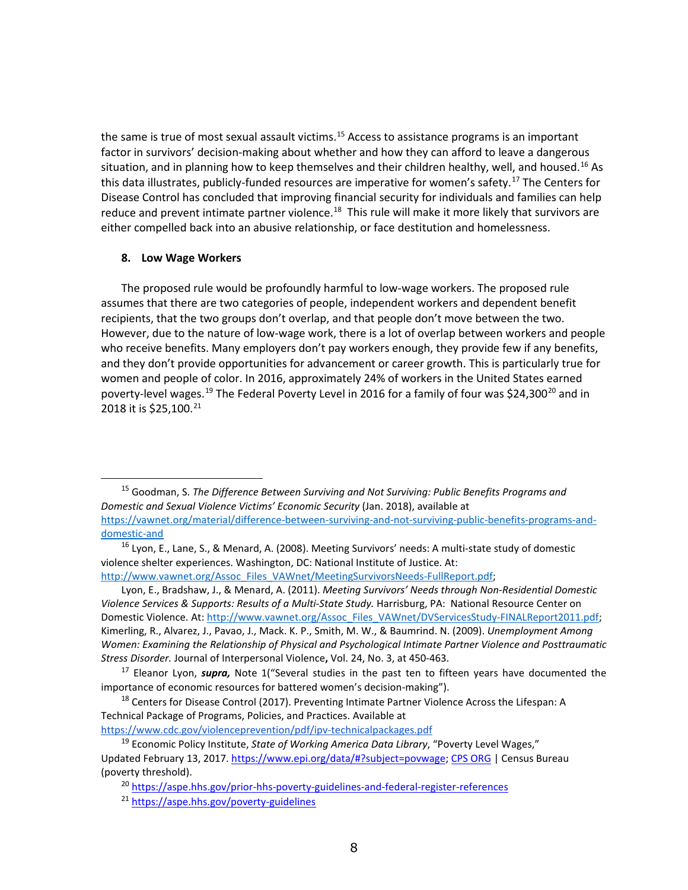the same is true of most sexual assault victims.<sup>[15](#page-7-0)</sup> Access to assistance programs is an important factor in survivors' decision-making about whether and how they can afford to leave a dangerous situation, and in planning how to keep themselves and their children healthy, well, and housed.<sup>[16](#page-7-1)</sup> As this data illustrates, publicly-funded resources are imperative for women's safety.<sup>[17](#page-7-2)</sup> The Centers for Disease Control has concluded that improving financial security for individuals and families can help reduce and prevent intimate partner violence.<sup>[18](#page-7-3)</sup> This rule will make it more likely that survivors are either compelled back into an abusive relationship, or face destitution and homelessness.

### **8. Low Wage Workers**

 $\overline{a}$ 

The proposed rule would be profoundly harmful to low-wage workers. The proposed rule assumes that there are two categories of people, independent workers and dependent benefit recipients, that the two groups don't overlap, and that people don't move between the two. However, due to the nature of low-wage work, there is a lot of overlap between workers and people who receive benefits. Many employers don't pay workers enough, they provide few if any benefits, and they don't provide opportunities for advancement or career growth. This is particularly true for women and people of color. In 2016, approximately 24% of workers in the United States earned poverty-level wages.<sup>[19](#page-7-4)</sup> The Federal Poverty Level in [20](#page-7-5)16 for a family of four was \$24,300<sup>20</sup> and in 2018 it is \$25,100.<sup>[21](#page-7-6)</sup>

Lyon, E., Bradshaw, J., & Menard, A. (2011). *Meeting Survivors' Needs through Non-Residential Domestic Violence Services & Supports: Results of a Multi-State Study.* Harrisburg, PA: National Resource Center on Domestic Violence. At: [http://www.vawnet.org/Assoc\\_Files\\_VAWnet/DVServicesStudy-FINALReport2011.pdf;](http://www.vawnet.org/Assoc_Files_VAWnet/DVServicesStudy-FINALReport2011.pdf) Kimerling, R., Alvarez, J., Pavao, J., Mack. K. P., Smith, M. W., & Baumrind. N. (2009). *Unemployment Among Women: Examining the Relationship of Physical and Psychological Intimate Partner Violence and Posttraumatic Stress Disorder.* Journal of Interpersonal Violence**,** Vol. 24, No. 3, at 450-463.

<https://www.cdc.gov/violenceprevention/pdf/ipv-technicalpackages.pdf>

<span id="page-7-0"></span><sup>15</sup> Goodman, S. *The Difference Between Surviving and Not Surviving: Public Benefits Programs and Domestic and Sexual Violence Victims' Economic Security* (Jan. 2018), available at [https://vawnet.org/material/difference-between-surviving-and-not-surviving-public-benefits-programs-and](https://vawnet.org/material/difference-between-surviving-and-not-surviving-public-benefits-programs-and-domestic-and)[domestic-and](https://vawnet.org/material/difference-between-surviving-and-not-surviving-public-benefits-programs-and-domestic-and)

<span id="page-7-1"></span><sup>&</sup>lt;sup>16</sup> Lyon, E., Lane, S., & Menard, A. (2008). Meeting Survivors' needs: A multi-state study of domestic violence shelter experiences. Washington, DC: National Institute of Justice. At: [http://www.vawnet.org/Assoc\\_Files\\_VAWnet/MeetingSurvivorsNeeds-FullReport.pdf;](http://new.vawnet.org/Assoc_Files_VAWnet/MeetingSurvivorsNeeds-FullReport.pdf)

<span id="page-7-2"></span><sup>17</sup> Eleanor Lyon, *supra,* Note 1("Several studies in the past ten to fifteen years have documented the importance of economic resources for battered women's decision-making").

<span id="page-7-3"></span><sup>&</sup>lt;sup>18</sup> Centers for Disease Control (2017). Preventing Intimate Partner Violence Across the Lifespan: A Technical Package of Programs, Policies, and Practices. Available at

<span id="page-7-6"></span><span id="page-7-5"></span><span id="page-7-4"></span><sup>19</sup> Economic Policy Institute, *State of Working America Data Library*, "Poverty Level Wages," Updated February 13, 2017. [https://www.epi.org/data/#?subject=povwage;](https://www.epi.org/data/#?subject=povwage) [CPS ORG](https://www.epi.org/data/#cpsorg) | Census Bureau (poverty threshold).

<sup>20</sup> <https://aspe.hhs.gov/prior-hhs-poverty-guidelines-and-federal-register-references>

<sup>21</sup> <https://aspe.hhs.gov/poverty-guidelines>